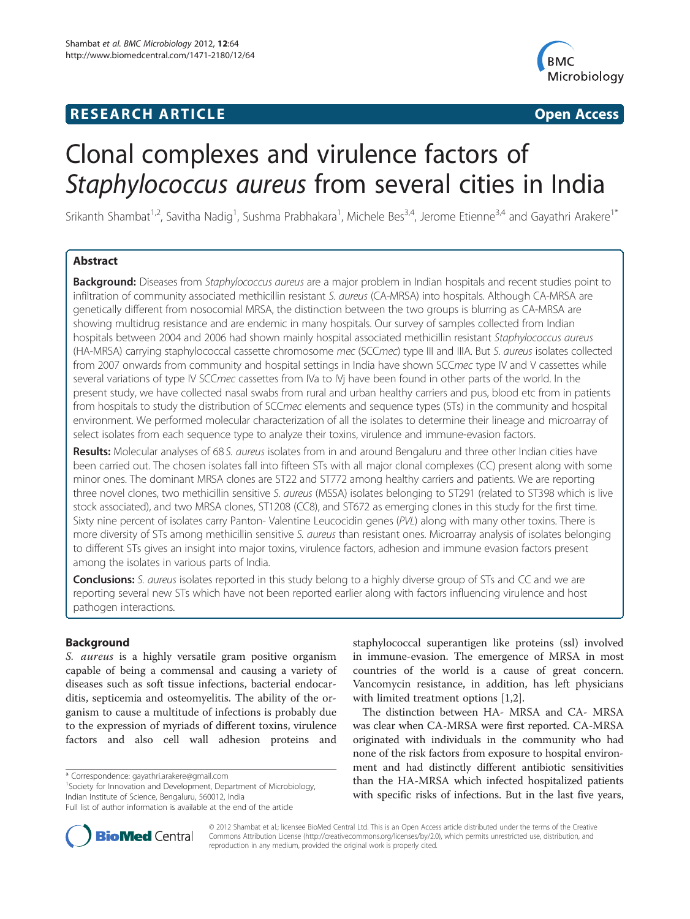# **RESEARCH ARTICLE Example 2014 The SEARCH ARTICLE**



# Clonal complexes and virulence factors of Staphylococcus aureus from several cities in India

Srikanth Shambat<sup>1,2</sup>, Savitha Nadig<sup>1</sup>, Sushma Prabhakara<sup>1</sup>, Michele Bes<sup>3,4</sup>, Jerome Etienne<sup>3,4</sup> and Gayathri Arakere<sup>1\*</sup>

# Abstract

Background: Diseases from Staphylococcus aureus are a major problem in Indian hospitals and recent studies point to infiltration of community associated methicillin resistant S. aureus (CA-MRSA) into hospitals. Although CA-MRSA are genetically different from nosocomial MRSA, the distinction between the two groups is blurring as CA-MRSA are showing multidrug resistance and are endemic in many hospitals. Our survey of samples collected from Indian hospitals between 2004 and 2006 had shown mainly hospital associated methicillin resistant Staphylococcus aureus (HA-MRSA) carrying staphylococcal cassette chromosome mec (SCCmec) type III and IIIA. But S. aureus isolates collected from 2007 onwards from community and hospital settings in India have shown SCCmec type IV and V cassettes while several variations of type IV SCCmec cassettes from IVa to IVj have been found in other parts of the world. In the present study, we have collected nasal swabs from rural and urban healthy carriers and pus, blood etc from in patients from hospitals to study the distribution of SCCmec elements and sequence types (STs) in the community and hospital environment. We performed molecular characterization of all the isolates to determine their lineage and microarray of select isolates from each sequence type to analyze their toxins, virulence and immune-evasion factors.

Results: Molecular analyses of 68 S. aureus isolates from in and around Bengaluru and three other Indian cities have been carried out. The chosen isolates fall into fifteen STs with all major clonal complexes (CC) present along with some minor ones. The dominant MRSA clones are ST22 and ST772 among healthy carriers and patients. We are reporting three novel clones, two methicillin sensitive S. aureus (MSSA) isolates belonging to ST291 (related to ST398 which is live stock associated), and two MRSA clones, ST1208 (CC8), and ST672 as emerging clones in this study for the first time. Sixty nine percent of isolates carry Panton- Valentine Leucocidin genes (PVL) along with many other toxins. There is more diversity of STs among methicillin sensitive S. aureus than resistant ones. Microarray analysis of isolates belonging to different STs gives an insight into major toxins, virulence factors, adhesion and immune evasion factors present among the isolates in various parts of India.

Conclusions: S. aureus isolates reported in this study belong to a highly diverse group of STs and CC and we are reporting several new STs which have not been reported earlier along with factors influencing virulence and host pathogen interactions.

# Background

S. aureus is a highly versatile gram positive organism capable of being a commensal and causing a variety of diseases such as soft tissue infections, bacterial endocarditis, septicemia and osteomyelitis. The ability of the organism to cause a multitude of infections is probably due to the expression of myriads of different toxins, virulence factors and also cell wall adhesion proteins and

<sup>1</sup>Society for Innovation and Development, Department of Microbiology, Indian Institute of Science, Bengaluru, 560012, India

staphylococcal superantigen like proteins (ssl) involved in immune-evasion. The emergence of MRSA in most countries of the world is a cause of great concern. Vancomycin resistance, in addition, has left physicians with limited treatment options [[1,2\]](#page-7-0).

The distinction between HA- MRSA and CA- MRSA was clear when CA-MRSA were first reported. CA-MRSA originated with individuals in the community who had none of the risk factors from exposure to hospital environment and had distinctly different antibiotic sensitivities than the HA-MRSA which infected hospitalized patients with specific risks of infections. But in the last five years,



© 2012 Shambat et al.; licensee BioMed Central Ltd. This is an Open Access article distributed under the terms of the Creative Commons Attribution License (http://creativecommons.org/licenses/by/2.0), which permits unrestricted use, distribution, and reproduction in any medium, provided the original work is properly cited.

<sup>\*</sup> Correspondence: [gayathri.arakere@gmail.com](mailto:gayathri.arakere@gmail.com) <sup>1</sup>

Full list of author information is available at the end of the article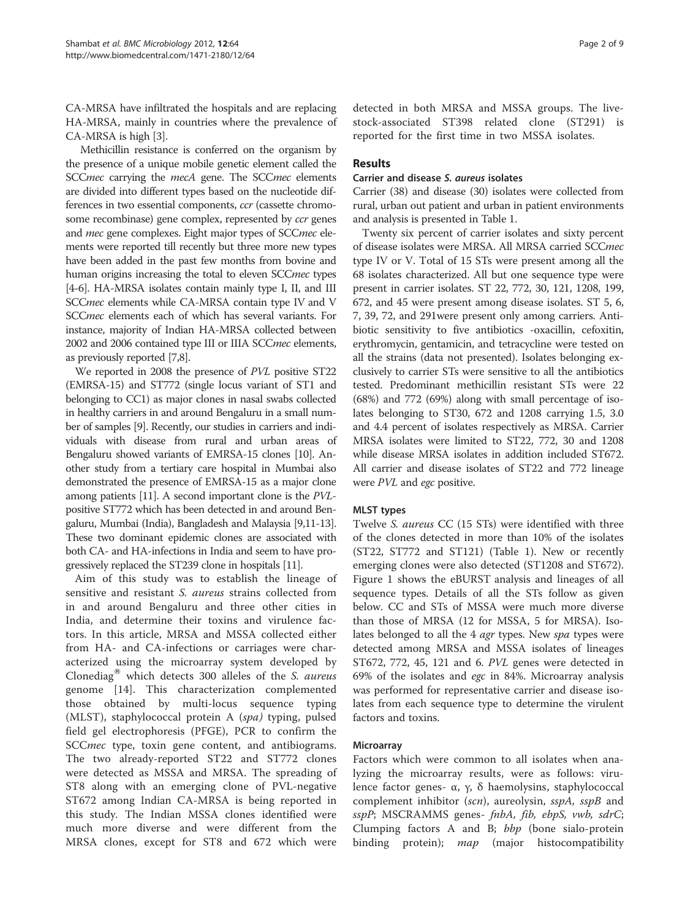CA-MRSA have infiltrated the hospitals and are replacing HA-MRSA, mainly in countries where the prevalence of CA-MRSA is high [\[3\]](#page-7-0).

Methicillin resistance is conferred on the organism by the presence of a unique mobile genetic element called the SCCmec carrying the mecA gene. The SCCmec elements are divided into different types based on the nucleotide differences in two essential components, ccr (cassette chromosome recombinase) gene complex, represented by ccr genes and mec gene complexes. Eight major types of SCCmec elements were reported till recently but three more new types have been added in the past few months from bovine and human origins increasing the total to eleven SCC*mec* types [[4](#page-7-0)-[6](#page-8-0)]. HA-MRSA isolates contain mainly type I, II, and III SCCmec elements while CA-MRSA contain type IV and V SCC*mec* elements each of which has several variants. For instance, majority of Indian HA-MRSA collected between 2002 and 2006 contained type III or IIIA SCCmec elements, as previously reported [\[7,8](#page-8-0)].

We reported in 2008 the presence of PVL positive ST22 (EMRSA-15) and ST772 (single locus variant of ST1 and belonging to CC1) as major clones in nasal swabs collected in healthy carriers in and around Bengaluru in a small number of samples [\[9](#page-8-0)]. Recently, our studies in carriers and individuals with disease from rural and urban areas of Bengaluru showed variants of EMRSA-15 clones [\[10\]](#page-8-0). Another study from a tertiary care hospital in Mumbai also demonstrated the presence of EMRSA-15 as a major clone among patients [\[11](#page-8-0)]. A second important clone is the PVLpositive ST772 which has been detected in and around Bengaluru, Mumbai (India), Bangladesh and Malaysia [[9,11-13](#page-8-0)]. These two dominant epidemic clones are associated with both CA- and HA-infections in India and seem to have progressively replaced the ST239 clone in hospitals [\[11](#page-8-0)].

Aim of this study was to establish the lineage of sensitive and resistant S. aureus strains collected from in and around Bengaluru and three other cities in India, and determine their toxins and virulence factors. In this article, MRSA and MSSA collected either from HA- and CA-infections or carriages were characterized using the microarray system developed by Clonediag<sup>®</sup> which detects 300 alleles of the *S. aureus* genome [[14\]](#page-8-0). This characterization complemented those obtained by multi-locus sequence typing (MLST), staphylococcal protein A (spa) typing, pulsed field gel electrophoresis (PFGE), PCR to confirm the SCC*mec* type, toxin gene content, and antibiograms. The two already-reported ST22 and ST772 clones were detected as MSSA and MRSA. The spreading of ST8 along with an emerging clone of PVL-negative ST672 among Indian CA-MRSA is being reported in this study. The Indian MSSA clones identified were much more diverse and were different from the MRSA clones, except for ST8 and 672 which were detected in both MRSA and MSSA groups. The livestock-associated ST398 related clone (ST291) is reported for the first time in two MSSA isolates.

## Results

#### Carrier and disease S. aureus isolates

Carrier (38) and disease (30) isolates were collected from rural, urban out patient and urban in patient environments and analysis is presented in Table [1](#page-2-0).

Twenty six percent of carrier isolates and sixty percent of disease isolates were MRSA. All MRSA carried SCCmec type IV or V. Total of 15 STs were present among all the 68 isolates characterized. All but one sequence type were present in carrier isolates. ST 22, 772, 30, 121, 1208, 199, 672, and 45 were present among disease isolates. ST 5, 6, 7, 39, 72, and 291were present only among carriers. Antibiotic sensitivity to five antibiotics -oxacillin, cefoxitin, erythromycin, gentamicin, and tetracycline were tested on all the strains (data not presented). Isolates belonging exclusively to carrier STs were sensitive to all the antibiotics tested. Predominant methicillin resistant STs were 22 (68%) and 772 (69%) along with small percentage of isolates belonging to ST30, 672 and 1208 carrying 1.5, 3.0 and 4.4 percent of isolates respectively as MRSA. Carrier MRSA isolates were limited to ST22, 772, 30 and 1208 while disease MRSA isolates in addition included ST672. All carrier and disease isolates of ST22 and 772 lineage were PVL and egc positive.

## MLST types

Twelve S. aureus CC (15 STs) were identified with three of the clones detected in more than 10% of the isolates (ST22, ST772 and ST121) (Table [1\)](#page-2-0). New or recently emerging clones were also detected (ST1208 and ST672). Figure [1](#page-3-0) shows the eBURST analysis and lineages of all sequence types. Details of all the STs follow as given below. CC and STs of MSSA were much more diverse than those of MRSA (12 for MSSA, 5 for MRSA). Isolates belonged to all the 4 *agr* types. New *spa* types were detected among MRSA and MSSA isolates of lineages ST672, 772, 45, 121 and 6. PVL genes were detected in 69% of the isolates and egc in 84%. Microarray analysis was performed for representative carrier and disease isolates from each sequence type to determine the virulent factors and toxins.

#### **Microarray**

Factors which were common to all isolates when analyzing the microarray results, were as follows: virulence factor genes- α, γ, δ haemolysins, staphylococcal complement inhibitor (scn), aureolysin, sspA, sspB and sspP; MSCRAMMS genes- fnbA, fib, ebpS, vwb, sdrC; Clumping factors A and B; bbp (bone sialo-protein binding protein); map (major histocompatibility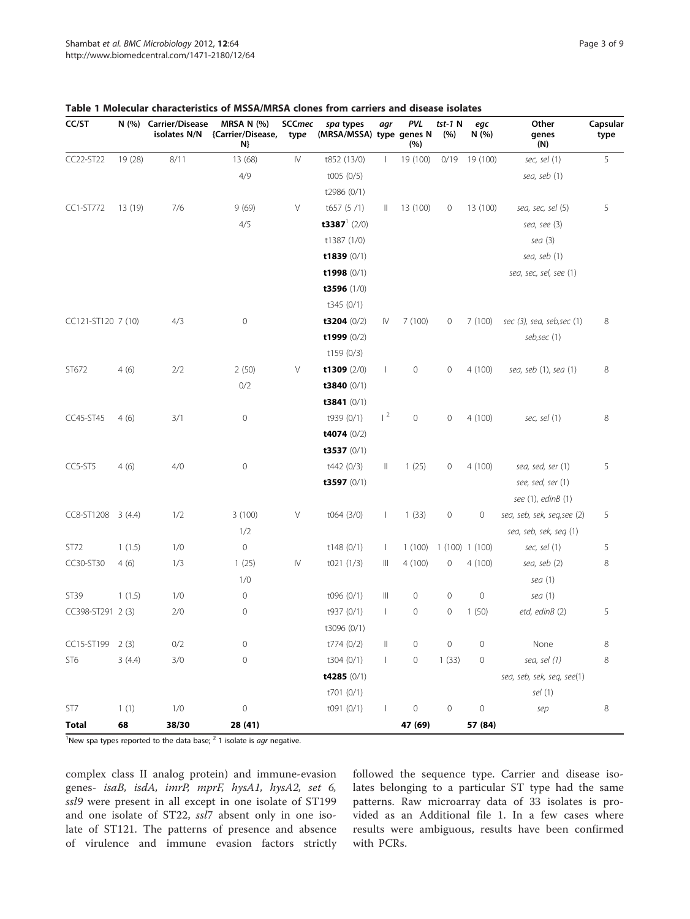| CC/ST              | N (%)   | <b>Carrier/Disease</b><br>isolates N/N | <b>MRSA N (%)</b><br>{Carrier/Disease,<br>N} | <b>SCCmec</b><br>type  | spa types<br>(MRSA/MSSA) type genes N | agr                      | <b>PVL</b><br>(%)   | $tst-1$ N<br>(%)    | egc<br>N(%)         | Other<br>genes<br>(N)       | Capsular<br>type |
|--------------------|---------|----------------------------------------|----------------------------------------------|------------------------|---------------------------------------|--------------------------|---------------------|---------------------|---------------------|-----------------------------|------------------|
| CC22-ST22          | 19 (28) | 8/11                                   | 13 (68)                                      | $\mathsf{I}\mathsf{V}$ | t852 (13/0)                           | $\perp$                  | 19 (100)            | 0/19                | 19 (100)            | sec, sel(1)                 | 5                |
|                    |         |                                        | 4/9                                          |                        | t005 (0/5)                            |                          |                     |                     |                     | sea, seb (1)                |                  |
|                    |         |                                        |                                              |                        | t2986 (0/1)                           |                          |                     |                     |                     |                             |                  |
| CC1-ST772          | 13 (19) | 7/6                                    | 9(69)                                        | $\vee$                 | t <sub>657</sub> $(5/1)$              | $\parallel$              | 13 (100)            | 0                   | 13 (100)            | sea, sec, sel (5)           | 5                |
|                    |         |                                        | 4/5                                          |                        | t3387 <sup>1</sup> (2/0)              |                          |                     |                     |                     | sea, see (3)                |                  |
|                    |         |                                        |                                              |                        | t1387 (1/0)                           |                          |                     |                     |                     | $sea$ (3)                   |                  |
|                    |         |                                        |                                              |                        | t1839 $(0/1)$                         |                          |                     |                     |                     | sea, seb (1)                |                  |
|                    |         |                                        |                                              |                        | t1998 $(0/1)$                         |                          |                     |                     |                     | sea, sec, sel, see (1)      |                  |
|                    |         |                                        |                                              |                        | t3596 (1/0)                           |                          |                     |                     |                     |                             |                  |
|                    |         |                                        |                                              |                        | t345 (0/1)                            |                          |                     |                     |                     |                             |                  |
| CC121-ST120 7 (10) |         | 4/3                                    | $\mathbb O$                                  |                        | t3204 $(0/2)$                         | IV                       | 7 (100)             | 0                   | 7(100)              | sec (3), sea, seb, sec (1)  | 8                |
|                    |         |                                        |                                              |                        | t1999 $(0/2)$                         |                          |                     |                     |                     | seb, sec (1)                |                  |
|                    |         |                                        |                                              |                        | t159 (0/3)                            |                          |                     |                     |                     |                             |                  |
| ST672              | 4(6)    | 2/2                                    | 2(50)                                        | $\vee$                 | t1309 $(2/0)$                         |                          | $\mathbf 0$         | $\mathbf 0$         | 4(100)              | sea, seb (1), sea (1)       | 8                |
|                    |         |                                        | 0/2                                          |                        | t3840 $(0/1)$                         |                          |                     |                     |                     |                             |                  |
|                    |         |                                        |                                              |                        | t3841 $(0/1)$                         |                          |                     |                     |                     |                             |                  |
| CC45-ST45          | 4(6)    | 3/1                                    | $\mathbb O$                                  |                        | t939 (0/1)                            | $\vert$ <sup>2</sup>     | $\circ$             | $\mathbf 0$         | 4 (100)             | sec, sel (1)                | 8                |
|                    |         |                                        |                                              |                        | t4074(0/2)                            |                          |                     |                     |                     |                             |                  |
|                    |         |                                        |                                              |                        | t3537 $(0/1)$                         |                          |                     |                     |                     |                             |                  |
| CC5-ST5            | 4(6)    | 4/0                                    | $\mathbb O$                                  |                        | t442 (0/3)                            | Ш                        | 1(25)               | $\mathbf 0$         | 4(100)              | sea, sed, ser (1)           | 5                |
|                    |         |                                        |                                              |                        | t3597 $(0/1)$                         |                          |                     |                     |                     | see, sed, ser (1)           |                  |
|                    |         |                                        |                                              |                        |                                       |                          |                     |                     |                     | see (1), edinB (1)          |                  |
| CC8-ST1208         | 3(4.4)  | 1/2                                    | 3 (100)                                      | $\vee$                 | t064 (3/0)                            | $\overline{\phantom{a}}$ | 1(33)               | $\mathbf 0$         | $\mathbb O$         | sea, seb, sek, seq, see (2) | 5                |
|                    |         |                                        | 1/2                                          |                        |                                       |                          |                     |                     |                     | sea, seb, sek, seq (1)      |                  |
| ST72               | 1(1.5)  | 1/0                                    | $\mathbf 0$                                  |                        | t148 (0/1)                            | $\mathbf{L}$             | 1(100)              | 1(100) 1(100)       |                     | sec, sel(1)                 | 5                |
| CC30-ST30          | 4(6)    | 1/3                                    | 1(25)                                        | IV                     | t021 (1/3)                            | $\mathbb{H}$             | 4(100)              | 0                   | 4(100)              | sea, seb (2)                | 8                |
|                    |         |                                        | 1/0                                          |                        |                                       |                          |                     |                     |                     | sea (1)                     |                  |
| ST39               | 1(1.5)  | 1/0                                    | $\mathbf 0$                                  |                        | t096 (0/1)                            | Ш                        | $\mathbf 0$         | 0                   | $\mathbf 0$         | sea $(1)$                   |                  |
| CC398-ST291 2 (3)  |         | 2/0                                    | $\mathbf 0$                                  |                        | t937 (0/1)                            | $\mathbf{I}$             | 0                   | 0                   | 1(50)               | etd, edinB (2)              | 5                |
|                    |         |                                        |                                              |                        | t3096 (0/1)                           |                          |                     |                     |                     |                             |                  |
| CC15-ST199 2 (3)   |         | 0/2                                    | $\mathsf{O}\xspace$                          |                        | t774 (0/2)                            | $\parallel$              | 0                   | $\mathsf{O}\xspace$ | $\mathbb O$         | None                        | 8                |
| ST <sub>6</sub>    | 3(4.4)  | 3/0                                    | $\mathsf{O}\xspace$                          |                        | t304 (0/1)                            | $\mathbf{L}$             | $\mathsf{O}\xspace$ | 1(33)               | $\mathbb O$         | sea, sel (1)                | 8                |
|                    |         |                                        |                                              |                        | t4285 $(0/1)$                         |                          |                     |                     |                     | sea, seb, sek, seg, see(1)  |                  |
|                    |         |                                        |                                              |                        | t701 (0/1)                            |                          |                     |                     |                     | sel(1)                      |                  |
| ST7                | 1(1)    | 1/0                                    | $\mathbf 0$                                  |                        | t091 (0/1)                            | $\overline{1}$           | $\circ$             | $\mathsf{O}\xspace$ | $\mathsf{O}\xspace$ | sep                         | 8                |
| <b>Total</b>       | 68      | 38/30                                  | 28 (41)                                      |                        |                                       |                          | 47 (69)             |                     | 57 (84)             |                             |                  |

# <span id="page-2-0"></span>Table 1 Molecular characteristics of MSSA/MRSA clones from carriers and disease isolates

<sup>1</sup>New spa types reported to the data base;  $^2$  1 isolate is *agr* negative.

complex class II analog protein) and immune-evasion genes- isaB, isdA, imrP, mprF, hysA1, hysA2, set 6, ssl9 were present in all except in one isolate of ST199 and one isolate of ST22, ssl7 absent only in one isolate of ST121. The patterns of presence and absence of virulence and immune evasion factors strictly followed the sequence type. Carrier and disease isolates belonging to a particular ST type had the same patterns. Raw microarray data of 33 isolates is provided as an [Additional file 1.](#page-7-0) In a few cases where results were ambiguous, results have been confirmed with PCRs.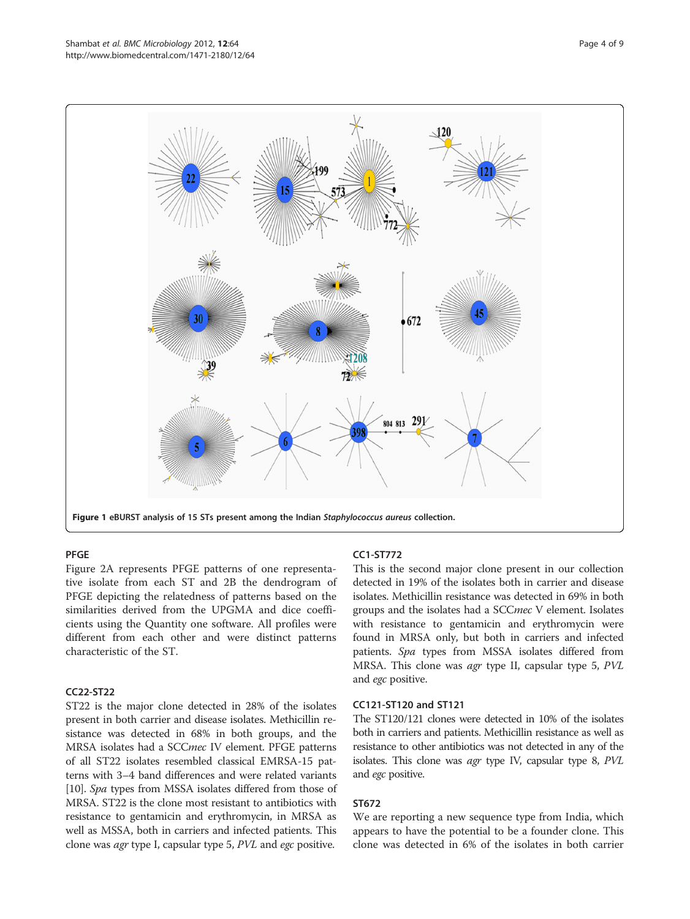<span id="page-3-0"></span>

## PFGE

Figure [2A](#page-4-0) represents PFGE patterns of one representative isolate from each ST and 2B the dendrogram of PFGE depicting the relatedness of patterns based on the similarities derived from the UPGMA and dice coefficients using the Quantity one software. All profiles were different from each other and were distinct patterns characteristic of the ST.

#### CC22-ST22

ST22 is the major clone detected in 28% of the isolates present in both carrier and disease isolates. Methicillin resistance was detected in 68% in both groups, and the MRSA isolates had a SCCmec IV element. PFGE patterns of all ST22 isolates resembled classical EMRSA-15 patterns with 3–4 band differences and were related variants [[10](#page-8-0)]. Spa types from MSSA isolates differed from those of MRSA. ST22 is the clone most resistant to antibiotics with resistance to gentamicin and erythromycin, in MRSA as well as MSSA, both in carriers and infected patients. This clone was agr type I, capsular type 5, PVL and egc positive.

## CC1-ST772

This is the second major clone present in our collection detected in 19% of the isolates both in carrier and disease isolates. Methicillin resistance was detected in 69% in both groups and the isolates had a SCCmec V element. Isolates with resistance to gentamicin and erythromycin were found in MRSA only, but both in carriers and infected patients. Spa types from MSSA isolates differed from MRSA. This clone was agr type II, capsular type 5, PVL and egc positive.

## CC121-ST120 and ST121

The ST120/121 clones were detected in 10% of the isolates both in carriers and patients. Methicillin resistance as well as resistance to other antibiotics was not detected in any of the isolates. This clone was agr type IV, capsular type 8, PVL and egc positive.

## ST672

We are reporting a new sequence type from India, which appears to have the potential to be a founder clone. This clone was detected in 6% of the isolates in both carrier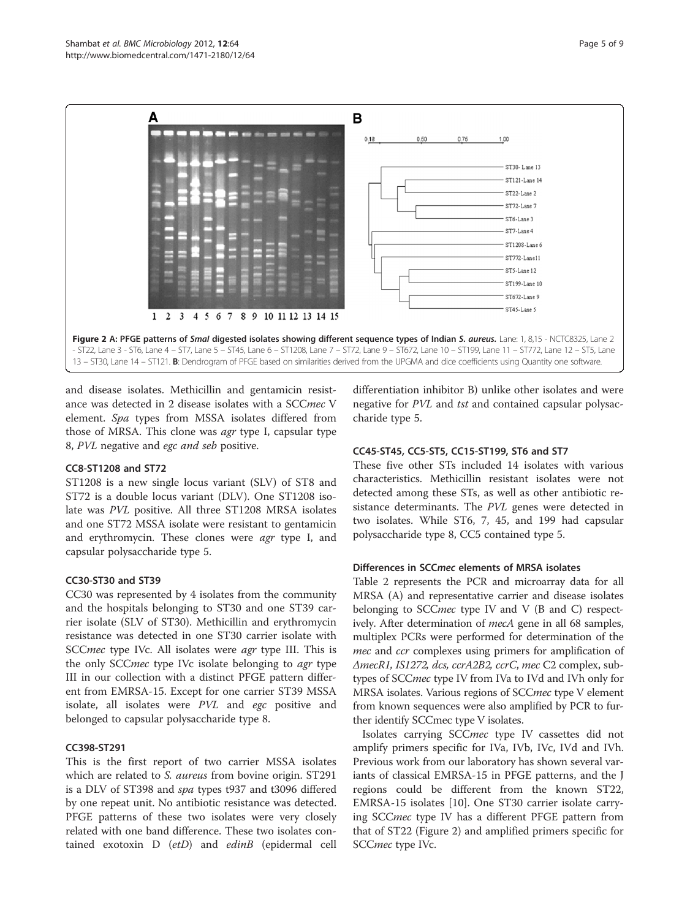<span id="page-4-0"></span>

and disease isolates. Methicillin and gentamicin resistance was detected in 2 disease isolates with a SCCmec V element. Spa types from MSSA isolates differed from those of MRSA. This clone was agr type I, capsular type 8, PVL negative and egc and seb positive.

## CC8-ST1208 and ST72

ST1208 is a new single locus variant (SLV) of ST8 and ST72 is a double locus variant (DLV). One ST1208 isolate was PVL positive. All three ST1208 MRSA isolates and one ST72 MSSA isolate were resistant to gentamicin and erythromycin. These clones were agr type I, and capsular polysaccharide type 5.

## CC30-ST30 and ST39

CC30 was represented by 4 isolates from the community and the hospitals belonging to ST30 and one ST39 carrier isolate (SLV of ST30). Methicillin and erythromycin resistance was detected in one ST30 carrier isolate with SCCmec type IVc. All isolates were agr type III. This is the only SCCmec type IVc isolate belonging to agr type III in our collection with a distinct PFGE pattern different from EMRSA-15. Except for one carrier ST39 MSSA isolate, all isolates were PVL and egc positive and belonged to capsular polysaccharide type 8.

## CC398-ST291

This is the first report of two carrier MSSA isolates which are related to S. aureus from bovine origin. ST291 is a DLV of ST398 and spa types t937 and t3096 differed by one repeat unit. No antibiotic resistance was detected. PFGE patterns of these two isolates were very closely related with one band difference. These two isolates contained exotoxin D (etD) and edinB (epidermal cell

differentiation inhibitor B) unlike other isolates and were negative for PVL and tst and contained capsular polysaccharide type 5.

#### CC45-ST45, CC5-ST5, CC15-ST199, ST6 and ST7

These five other STs included 14 isolates with various characteristics. Methicillin resistant isolates were not detected among these STs, as well as other antibiotic resistance determinants. The PVL genes were detected in two isolates. While ST6, 7, 45, and 199 had capsular polysaccharide type 8, CC5 contained type 5.

#### Differences in SCCmec elements of MRSA isolates

Table [2](#page-5-0) represents the PCR and microarray data for all MRSA (A) and representative carrier and disease isolates belonging to  $SCC$ *mec* type IV and V  $(B \text{ and } C)$  respectively. After determination of *mecA* gene in all 68 samples, multiplex PCRs were performed for determination of the mec and ccr complexes using primers for amplification of ΔmecR1, IS1272, dcs, ccrA2B2, ccrC, mec C2 complex, subtypes of SCCmec type IV from IVa to IVd and IVh only for MRSA isolates. Various regions of SCCmec type V element from known sequences were also amplified by PCR to further identify SCCmec type V isolates.

Isolates carrying SCCmec type IV cassettes did not amplify primers specific for IVa, IVb, IVc, IVd and IVh. Previous work from our laboratory has shown several variants of classical EMRSA-15 in PFGE patterns, and the J regions could be different from the known ST22, EMRSA-15 isolates [[10](#page-8-0)]. One ST30 carrier isolate carrying SCCmec type IV has a different PFGE pattern from that of ST22 (Figure 2) and amplified primers specific for SCCmec type IVc.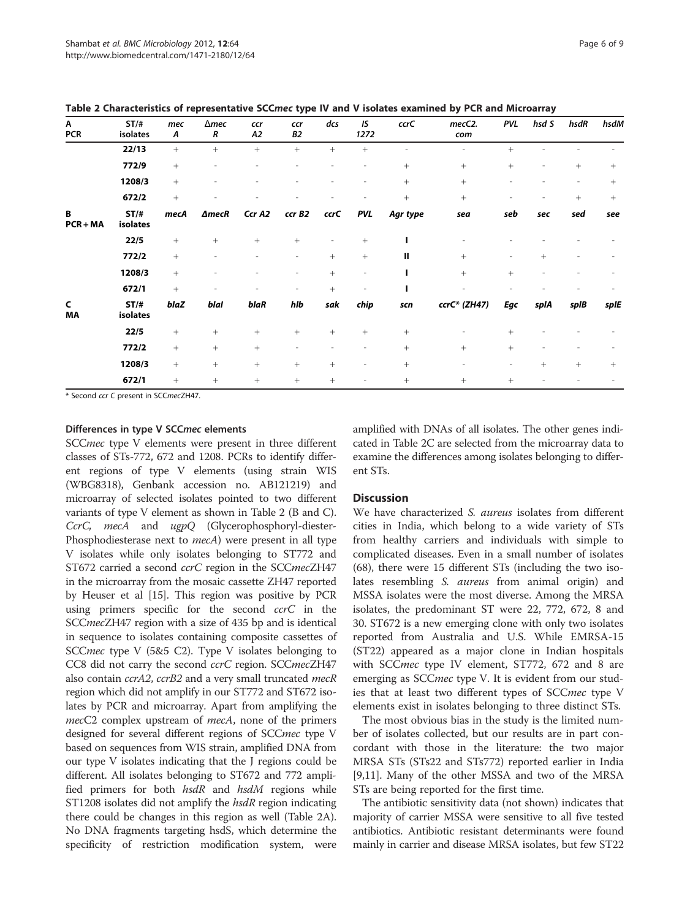| $\pmb{\mathsf{A}}$<br><b>PCR</b> | ST/H<br>isolates    | mec<br>Α | $\Delta$ mec<br>R | ccr<br>A2 | ccr<br>B2       | dcs             | IS<br>1272               | ccrC         | $mecC2$ .<br>com         | PVL             | hsd S | hsdR | hsdM            |
|----------------------------------|---------------------|----------|-------------------|-----------|-----------------|-----------------|--------------------------|--------------|--------------------------|-----------------|-------|------|-----------------|
|                                  | 22/13               | $+$      | $^{+}$            | $+$       | $^{+}$          | $^{+}$          |                          |              |                          | $+$             |       |      |                 |
|                                  | 772/9               | $^{+}$   |                   |           |                 |                 | $\overline{a}$           | $^{+}$       | $+$                      | $\! + \!\!\!\!$ |       | $+$  | $^{+}$          |
|                                  | 1208/3              | $+$      |                   |           |                 |                 |                          | $^{+}$       | $\! +$                   |                 |       |      | $\! + \!\!\!\!$ |
|                                  | 672/2               | $^{+}$   |                   |           |                 |                 |                          | $^{+}$       | $+$                      |                 |       | $+$  | $+$             |
| В<br><b>PCR+MA</b>               | $ST/\#$<br>isolates | mecA     | $\Delta$ mecR     | Ccr A2    | ccr B2          | ccrC            | <b>PVL</b>               | Agr type     | sea                      | seb             | sec   | sed  | see             |
|                                  | 22/5                | $^{+}$   | $^{+}$            | $+$       | $+$             |                 | $^{+}$                   |              |                          |                 |       |      |                 |
|                                  | 772/2               | $+$      |                   |           | $\qquad \qquad$ | $^{+}$          | $^{+}$                   | $\mathbf{H}$ | $+$                      |                 | $+$   |      |                 |
|                                  | 1208/3              | $^{+}$   |                   |           |                 | $+$             | $\overline{a}$           |              | $+$                      | $\! + \!\!\!\!$ |       |      |                 |
|                                  | 672/1               | $+$      |                   |           |                 | $+$             |                          |              |                          |                 |       |      |                 |
| C<br>MA                          | ST/H<br>isolates    | blaZ     | blal              | blaR      | hlb             | sak             | chip                     | scn          | $ccrC*$ (ZH47)           | Egc             | splA  | splB | splE            |
|                                  | 22/5                | $^{+}$   | $^{+}$            | $^{+}$    | $^{+}$          | $\! + \!\!\!\!$ | $^{+}$                   | $^{+}$       |                          | $+$             |       |      |                 |
|                                  | 772/2               | $+$      | $^{+}$            | $+$       |                 |                 |                          | $+$          | $+$                      | $+$             |       |      |                 |
|                                  | 1208/3              | $^{+}$   | $+$               | $+$       | $^{+}$          | $+$             | $\overline{\phantom{0}}$ | $^{+}$       | $\overline{\phantom{a}}$ |                 | $+$   | $+$  | $^{+}$          |
|                                  | 672/1               | $^{+}$   | $^{+}$            | $^{+}$    | $^{+}$          | $^{+}$          |                          | $^{+}$       | $\! + \!\!\!\!$          | $^{+}$          |       |      |                 |

<span id="page-5-0"></span>Table 2 Characteristics of representative SCCmec type IV and V isolates examined by PCR and Microarray

\* Second ccr C present in SCCmecZH47.

#### Differences in type V SCCmec elements

SCCmec type V elements were present in three different classes of STs-772, 672 and 1208. PCRs to identify different regions of type V elements (using strain WIS (WBG8318), Genbank accession no. AB121219) and microarray of selected isolates pointed to two different variants of type V element as shown in Table 2 (B and C). CcrC, mecA and ugpQ (Glycerophosphoryl-diester-Phosphodiesterase next to *mecA*) were present in all type V isolates while only isolates belonging to ST772 and ST672 carried a second ccrC region in the SCCmecZH47 in the microarray from the mosaic cassette ZH47 reported by Heuser et al [\[15\]](#page-8-0). This region was positive by PCR using primers specific for the second ccrC in the SCCmecZH47 region with a size of 435 bp and is identical in sequence to isolates containing composite cassettes of SCCmec type V (5&5 C2). Type V isolates belonging to CC8 did not carry the second ccrC region. SCCmecZH47 also contain ccrA2, ccrB2 and a very small truncated mecR region which did not amplify in our ST772 and ST672 isolates by PCR and microarray. Apart from amplifying the mecC2 complex upstream of mecA, none of the primers designed for several different regions of SCCmec type V based on sequences from WIS strain, amplified DNA from our type V isolates indicating that the J regions could be different. All isolates belonging to ST672 and 772 amplified primers for both hsdR and hsdM regions while ST1208 isolates did not amplify the *hsdR* region indicating there could be changes in this region as well (Table 2A). No DNA fragments targeting hsdS, which determine the specificity of restriction modification system, were amplified with DNAs of all isolates. The other genes indicated in Table 2C are selected from the microarray data to examine the differences among isolates belonging to different STs.

## **Discussion**

We have characterized S. aureus isolates from different cities in India, which belong to a wide variety of STs from healthy carriers and individuals with simple to complicated diseases. Even in a small number of isolates (68), there were 15 different STs (including the two isolates resembling S. aureus from animal origin) and MSSA isolates were the most diverse. Among the MRSA isolates, the predominant ST were 22, 772, 672, 8 and 30. ST672 is a new emerging clone with only two isolates reported from Australia and U.S. While EMRSA-15 (ST22) appeared as a major clone in Indian hospitals with SCCmec type IV element, ST772, 672 and 8 are emerging as SCCmec type V. It is evident from our studies that at least two different types of SCCmec type V elements exist in isolates belonging to three distinct STs.

The most obvious bias in the study is the limited number of isolates collected, but our results are in part concordant with those in the literature: the two major MRSA STs (STs22 and STs772) reported earlier in India [[9,11\]](#page-8-0). Many of the other MSSA and two of the MRSA STs are being reported for the first time.

The antibiotic sensitivity data (not shown) indicates that majority of carrier MSSA were sensitive to all five tested antibiotics. Antibiotic resistant determinants were found mainly in carrier and disease MRSA isolates, but few ST22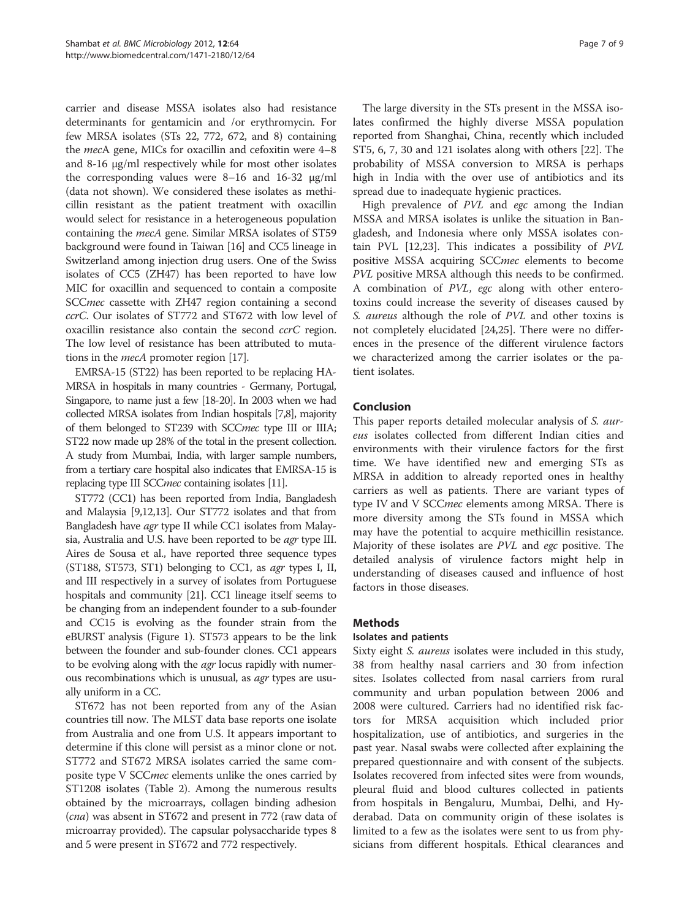carrier and disease MSSA isolates also had resistance determinants for gentamicin and /or erythromycin. For few MRSA isolates (STs 22, 772, 672, and 8) containing the mecA gene, MICs for oxacillin and cefoxitin were 4–8 and 8-16 μg/ml respectively while for most other isolates the corresponding values were 8–16 and 16-32 μg/ml (data not shown). We considered these isolates as methicillin resistant as the patient treatment with oxacillin would select for resistance in a heterogeneous population containing the mecA gene. Similar MRSA isolates of ST59 background were found in Taiwan [\[16\]](#page-8-0) and CC5 lineage in Switzerland among injection drug users. One of the Swiss isolates of CC5 (ZH47) has been reported to have low MIC for oxacillin and sequenced to contain a composite SCC*mec* cassette with ZH47 region containing a second ccrC. Our isolates of ST772 and ST672 with low level of oxacillin resistance also contain the second ccrC region. The low level of resistance has been attributed to mutations in the *mecA* promoter region [\[17\]](#page-8-0).

EMRSA-15 (ST22) has been reported to be replacing HA-MRSA in hospitals in many countries - Germany, Portugal, Singapore, to name just a few [\[18-20](#page-8-0)]. In 2003 when we had collected MRSA isolates from Indian hospitals [\[7,8](#page-8-0)], majority of them belonged to ST239 with SCCmec type III or IIIA; ST22 now made up 28% of the total in the present collection. A study from Mumbai, India, with larger sample numbers, from a tertiary care hospital also indicates that EMRSA-15 is replacing type III SCCmec containing isolates [\[11](#page-8-0)].

ST772 (CC1) has been reported from India, Bangladesh and Malaysia [\[9,12,13](#page-8-0)]. Our ST772 isolates and that from Bangladesh have agr type II while CC1 isolates from Malaysia, Australia and U.S. have been reported to be agr type III. Aires de Sousa et al., have reported three sequence types (ST188, ST573, ST1) belonging to CC1, as agr types I, II, and III respectively in a survey of isolates from Portuguese hospitals and community [\[21](#page-8-0)]. CC1 lineage itself seems to be changing from an independent founder to a sub-founder and CC15 is evolving as the founder strain from the eBURST analysis (Figure [1](#page-3-0)). ST573 appears to be the link between the founder and sub-founder clones. CC1 appears to be evolving along with the *agr* locus rapidly with numerous recombinations which is unusual, as agr types are usually uniform in a CC.

ST672 has not been reported from any of the Asian countries till now. The MLST data base reports one isolate from Australia and one from U.S. It appears important to determine if this clone will persist as a minor clone or not. ST772 and ST672 MRSA isolates carried the same composite type V SCCmec elements unlike the ones carried by ST1208 isolates (Table [2\)](#page-5-0). Among the numerous results obtained by the microarrays, collagen binding adhesion (cna) was absent in ST672 and present in 772 (raw data of microarray provided). The capsular polysaccharide types 8 and 5 were present in ST672 and 772 respectively.

The large diversity in the STs present in the MSSA isolates confirmed the highly diverse MSSA population reported from Shanghai, China, recently which included ST5, 6, 7, 30 and 121 isolates along with others [\[22](#page-8-0)]. The probability of MSSA conversion to MRSA is perhaps high in India with the over use of antibiotics and its spread due to inadequate hygienic practices.

High prevalence of PVL and egc among the Indian MSSA and MRSA isolates is unlike the situation in Bangladesh, and Indonesia where only MSSA isolates contain PVL [[12,23](#page-8-0)]. This indicates a possibility of PVL positive MSSA acquiring SCCmec elements to become PVL positive MRSA although this needs to be confirmed. A combination of PVL, egc along with other enterotoxins could increase the severity of diseases caused by S. aureus although the role of PVL and other toxins is not completely elucidated [\[24,25\]](#page-8-0). There were no differences in the presence of the different virulence factors we characterized among the carrier isolates or the patient isolates.

#### Conclusion

This paper reports detailed molecular analysis of S. aureus isolates collected from different Indian cities and environments with their virulence factors for the first time. We have identified new and emerging STs as MRSA in addition to already reported ones in healthy carriers as well as patients. There are variant types of type IV and V SCC*mec* elements among MRSA. There is more diversity among the STs found in MSSA which may have the potential to acquire methicillin resistance. Majority of these isolates are PVL and egc positive. The detailed analysis of virulence factors might help in understanding of diseases caused and influence of host factors in those diseases.

#### Methods

#### Isolates and patients

Sixty eight S. aureus isolates were included in this study, 38 from healthy nasal carriers and 30 from infection sites. Isolates collected from nasal carriers from rural community and urban population between 2006 and 2008 were cultured. Carriers had no identified risk factors for MRSA acquisition which included prior hospitalization, use of antibiotics, and surgeries in the past year. Nasal swabs were collected after explaining the prepared questionnaire and with consent of the subjects. Isolates recovered from infected sites were from wounds, pleural fluid and blood cultures collected in patients from hospitals in Bengaluru, Mumbai, Delhi, and Hyderabad. Data on community origin of these isolates is limited to a few as the isolates were sent to us from physicians from different hospitals. Ethical clearances and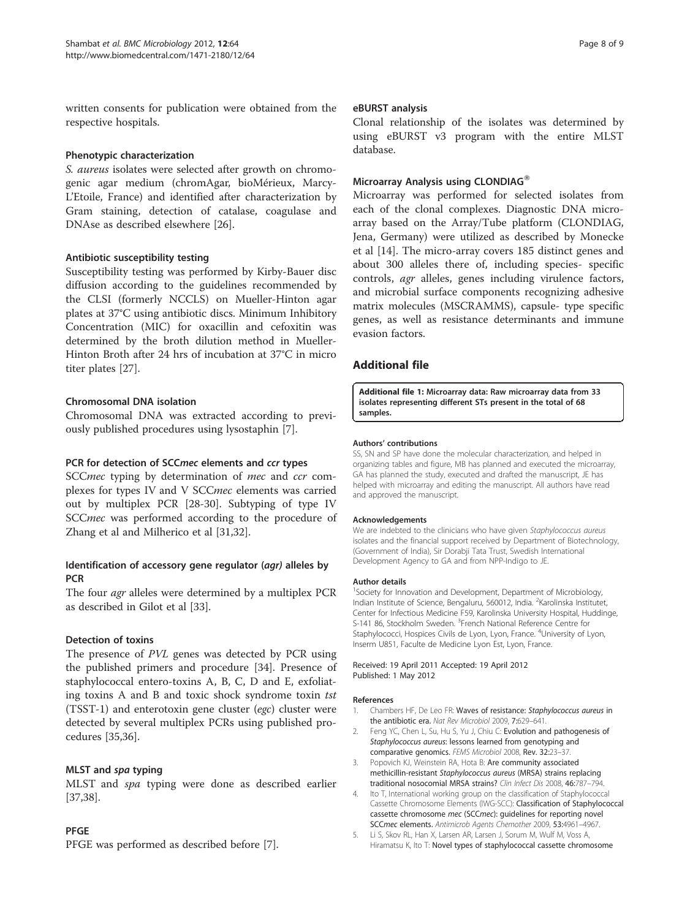<span id="page-7-0"></span>written consents for publication were obtained from the respective hospitals.

## Phenotypic characterization

S. aureus isolates were selected after growth on chromogenic agar medium (chromAgar, bioMérieux, Marcy-L'Etoile, France) and identified after characterization by Gram staining, detection of catalase, coagulase and DNAse as described elsewhere [[26](#page-8-0)].

#### Antibiotic susceptibility testing

Susceptibility testing was performed by Kirby-Bauer disc diffusion according to the guidelines recommended by the CLSI (formerly NCCLS) on Mueller-Hinton agar plates at 37°C using antibiotic discs. Minimum Inhibitory Concentration (MIC) for oxacillin and cefoxitin was determined by the broth dilution method in Mueller-Hinton Broth after 24 hrs of incubation at 37°C in micro titer plates [[27\]](#page-8-0).

## Chromosomal DNA isolation

Chromosomal DNA was extracted according to previously published procedures using lysostaphin [[7\]](#page-8-0).

#### PCR for detection of SCCmec elements and ccr types

SCCmec typing by determination of mec and ccr complexes for types IV and V SCCmec elements was carried out by multiplex PCR [28[-30](#page-8-0)]. Subtyping of type IV SCC*mec* was performed according to the procedure of Zhang et al and Milherico et al [[31,32](#page-8-0)].

# Identification of accessory gene regulator (agr) alleles by **PCR**

The four agr alleles were determined by a multiplex PCR as described in Gilot et al [\[33\]](#page-8-0).

#### Detection of toxins

The presence of PVL genes was detected by PCR using the published primers and procedure [[34](#page-8-0)]. Presence of staphylococcal entero-toxins A, B, C, D and E, exfoliating toxins A and B and toxic shock syndrome toxin tst (TSST-1) and enterotoxin gene cluster (egc) cluster were detected by several multiplex PCRs using published procedures [[35,36](#page-8-0)].

## MLST and spa typing

MLST and spa typing were done as described earlier [[37,38\]](#page-8-0).

## PFGE

PFGE was performed as described before [\[7](#page-8-0)].

#### eBURST analysis

Clonal relationship of the isolates was determined by using eBURST v3 program with the entire MLST database.

#### Microarray Analysis using CLONDIAG<sup>®</sup>

Microarray was performed for selected isolates from each of the clonal complexes. Diagnostic DNA microarray based on the Array/Tube platform (CLONDIAG, Jena, Germany) were utilized as described by Monecke et al [[14\]](#page-8-0). The micro-array covers 185 distinct genes and about 300 alleles there of, including species- specific controls, agr alleles, genes including virulence factors, and microbial surface components recognizing adhesive matrix molecules (MSCRAMMS), capsule- type specific genes, as well as resistance determinants and immune evasion factors.

## Additional file

[Additional file 1:](http://www.biomedcentral.com/content/supplementary/1471-12-S1.xls) Microarray data: Raw microarray data from 33 isolates representing different STs present in the total of 68 samples.

#### Authors' contributions

SS, SN and SP have done the molecular characterization, and helped in organizing tables and figure, MB has planned and executed the microarray, GA has planned the study, executed and drafted the manuscript, JE has helped with microarray and editing the manuscript. All authors have read and approved the manuscript.

#### Acknowledgements

We are indebted to the clinicians who have given Staphylococcus aureus isolates and the financial support received by Department of Biotechnology, (Government of India), Sir Dorabji Tata Trust, Swedish International Development Agency to GA and from NPP-Indigo to JE.

#### Author details

<sup>1</sup>Society for Innovation and Development, Department of Microbiology, Indian Institute of Science, Bengaluru, 560012, India. <sup>2</sup>Karolinska Institutet Center for Infectious Medicine F59, Karolinska University Hospital, Huddinge, S-141 86, Stockholm Sweden. <sup>3</sup> French National Reference Centre for Staphylococci, Hospices Civils de Lyon, Lyon, France. <sup>4</sup>University of Lyon, Inserm U851, Faculte de Medicine Lyon Est, Lyon, France.

Received: 19 April 2011 Accepted: 19 April 2012 Published: 1 May 2012

#### References

- 1. Chambers HF, De Leo FR: Waves of resistance: Staphylococcus aureus in the antibiotic era. Nat Rev Microbiol 2009, 7:629-641.
- 2. Feng YC, Chen L, Su, Hu S, Yu J, Chiu C: Evolution and pathogenesis of Staphylococcus aureus: lessons learned from genotyping and comparative genomics. FEMS Microbiol 2008, Rev. 32:23–37.
- 3. Popovich KJ, Weinstein RA, Hota B: Are community associated methicillin-resistant Staphylococcus aureus (MRSA) strains replacing traditional nosocomial MRSA strains? Clin Infect Dis 2008, 46:787–794.
- 4. Ito T, International working group on the classification of Staphylococcal Cassette Chromosome Elements (IWG-SCC): Classification of Staphylococcal cassette chromosome mec (SCCmec): guidelines for reporting novel SCCmec elements. Antimicrob Agents Chemother 2009, 53:4961–4967.
- 5. Li S, Skov RL, Han X, Larsen AR, Larsen J, Sorum M, Wulf M, Voss A, Hiramatsu K, Ito T: Novel types of staphylococcal cassette chromosome